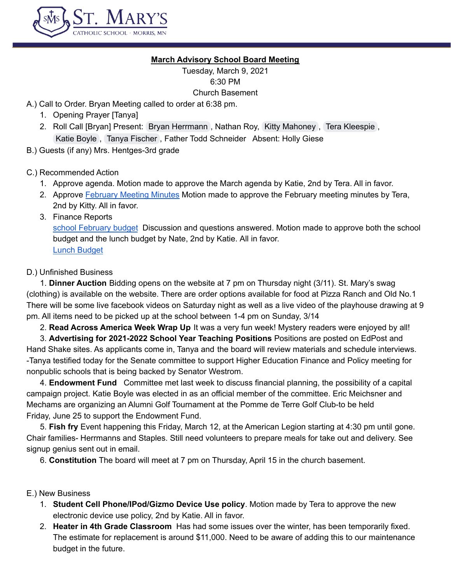

#### **March Advisory School Board Meeting**

Tuesday, March 9, 2021 6:30 PM

Church Basement

A.) Call to Order. Bryan Meeting called to order at 6:38 pm.

- 1. Opening Prayer [Tanya]
- 2. Roll Call [Bryan] Present: Bryan [Herrmann](mailto:herrmanb@morris.umn.edu) , Nathan Roy, Kitty [Mahoney](mailto:mahoneyk@morris.umn.edu) , Tera [Kleespie](mailto:tlkleespie@gmail.com) , Katie [Boyle](mailto:katierboyle24@gmail.com) , Tanya [Fischer](mailto:principal@stmarysmorris.com) , Father Todd Schneider Absent: Holly Giese
- B.) Guests (if any) Mrs. Hentges-3rd grade

C.) Recommended Action

- 1. Approve agenda. Motion made to approve the March agenda by Katie, 2nd by Tera. All in favor.
- 2. Approve [February](https://docs.google.com/document/d/1ds6hUuK3_UUl4KNYJlszqBHWNkUD5skGzQQIP0flulo/edit) Meeting Minutes Motion made to approve the February meeting minutes by Tera, 2nd by Kitty. All in favor.
- 3. Finance Reports

school [February](https://docs.google.com/spreadsheets/d/1N9FGGcNpqQ1z3k6XcRBiTlA80BUlvk9w/edit#gid=1290127771) budget Discussion and questions answered. Motion made to approve both the school budget and the lunch budget by Nate, 2nd by Katie. All in favor. Lunch [Budget](https://docs.google.com/spreadsheets/d/1Ma7OHvDwWMV36K_Lsclp6kSmUqim9JLH/edit#gid=105740976)

## D.) Unfinished Business

1. **Dinner Auction** Bidding opens on the website at 7 pm on Thursday night (3/11). St. Mary's swag (clothing) is available on the website. There are order options available for food at Pizza Ranch and Old No.1 There will be some live facebook videos on Saturday night as well as a live video of the playhouse drawing at 9 pm. All items need to be picked up at the school between 1-4 pm on Sunday, 3/14

2. **Read Across America Week Wrap Up** It was a very fun week! Mystery readers were enjoyed by all!

3. **Advertising for 2021-2022 School Year Teaching Positions** Positions are posted on EdPost and

Hand Shake sites. As applicants come in, Tanya and the board will review materials and schedule interviews. -Tanya testified today for the Senate committee to support Higher Education Finance and Policy meeting for nonpublic schools that is being backed by Senator Westrom.

4. **Endowment Fund** Committee met last week to discuss financial planning, the possibility of a capital campaign project. Katie Boyle was elected in as an official member of the committee. Eric Meichsner and Mechams are organizing an Alumni Golf Tournament at the Pomme de Terre Golf Club-to be held Friday, June 25 to support the Endowment Fund.

5. **Fish fry** Event happening this Friday, March 12, at the American Legion starting at 4:30 pm until gone. Chair families- Herrmanns and Staples. Still need volunteers to prepare meals for take out and delivery. See signup genius sent out in email.

6. **Constitution** The board will meet at 7 pm on Thursday, April 15 in the church basement.

## E.) New Business

- 1. **Student Cell Phone/IPod/Gizmo Device Use policy**. Motion made by Tera to approve the new electronic device use policy, 2nd by Katie. All in favor.
- 2. **Heater in 4th Grade Classroom** Has had some issues over the winter, has been temporarily fixed. The estimate for replacement is around \$11,000. Need to be aware of adding this to our maintenance budget in the future.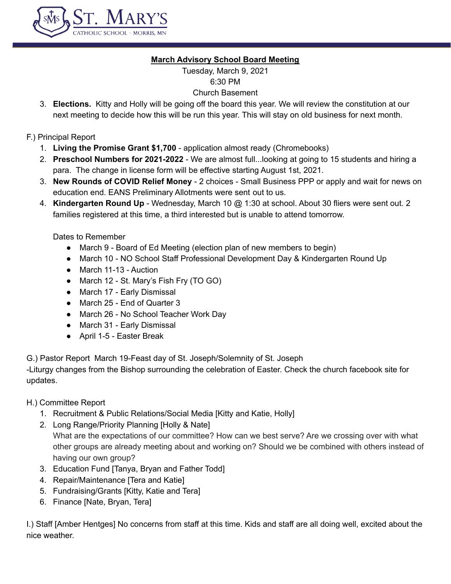

### **March Advisory School Board Meeting**

Tuesday, March 9, 2021 6:30 PM

## Church Basement

3. **Elections.** Kitty and Holly will be going off the board this year. We will review the constitution at our next meeting to decide how this will be run this year. This will stay on old business for next month.

#### F.) Principal Report

- 1. **Living the Promise Grant \$1,700** application almost ready (Chromebooks)
- 2. **Preschool Numbers for 2021-2022** We are almost full...looking at going to 15 students and hiring a para. The change in license form will be effective starting August 1st, 2021.
- 3. **New Rounds of COVID Relief Money** 2 choices Small Business PPP or apply and wait for news on education end. EANS Preliminary Allotments were sent out to us.
- 4. **Kindergarten Round Up** Wednesday, March 10 @ 1:30 at school. About 30 fliers were sent out. 2 families registered at this time, a third interested but is unable to attend tomorrow.

Dates to Remember

- March 9 Board of Ed Meeting (election plan of new members to begin)
- March 10 NO School Staff Professional Development Day & Kindergarten Round Up
- March 11-13 Auction
- March 12 St. Mary's Fish Fry (TO GO)
- March 17 Early Dismissal
- March 25 End of Quarter 3
- March 26 No School Teacher Work Day
- March 31 Early Dismissal
- April 1-5 Easter Break

G.) Pastor Report March 19-Feast day of St. Joseph/Solemnity of St. Joseph

-Liturgy changes from the Bishop surrounding the celebration of Easter. Check the church facebook site for updates.

H.) Committee Report

- 1. Recruitment & Public Relations/Social Media [Kitty and Katie, Holly]
- 2. Long Range/Priority Planning [Holly & Nate] What are the expectations of our committee? How can we best serve? Are we crossing over with what other groups are already meeting about and working on? Should we be combined with others instead of having our own group?
- 3. Education Fund [Tanya, Bryan and Father Todd]
- 4. Repair/Maintenance [Tera and Katie]
- 5. Fundraising/Grants [Kitty, Katie and Tera]
- 6. Finance [Nate, Bryan, Tera]

I.) Staff [Amber Hentges] No concerns from staff at this time. Kids and staff are all doing well, excited about the nice weather.